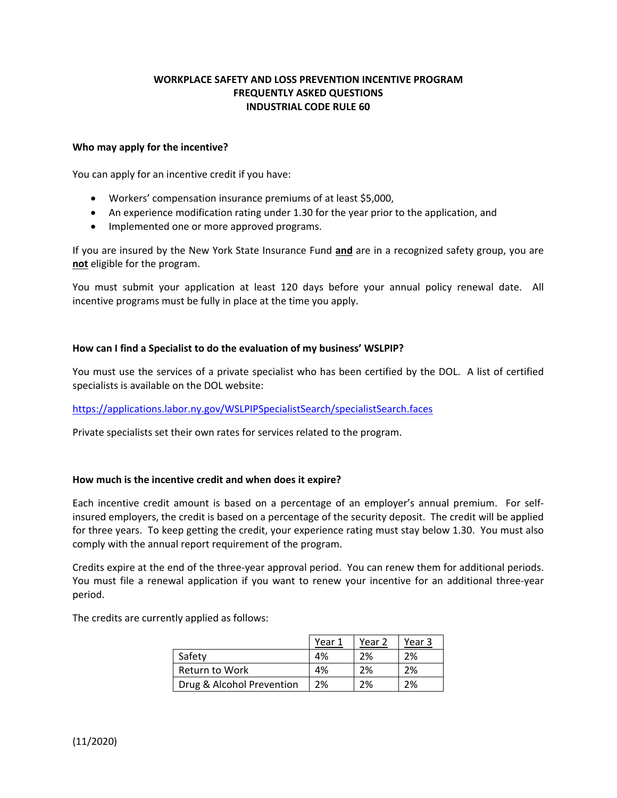# **WORKPLACE SAFETY AND LOSS PREVENTION INCENTIVE PROGRAM FREQUENTLY ASKED QUESTIONS INDUSTRIAL CODE RULE 60**

### **Who may apply for the incentive?**

You can apply for an incentive credit if you have:

- Workers' compensation insurance premiums of at least \$5,000,
- An experience modification rating under 1.30 for the year prior to the application, and
- Implemented one or more approved programs.

If you are insured by the New York State Insurance Fund **and** are in a recognized safety group, you are **not** eligible for the program.

You must submit your application at least 120 days before your annual policy renewal date. All incentive programs must be fully in place at the time you apply.

#### **How can I find a Specialist to do the evaluation of my business' WSLPIP?**

You must use the services of a private specialist who has been certified by the DOL. A list of certified specialists is available on the DOL website:

# https://applications.labor.ny.gov/WSLPIPSpecialistSearch/specialistSearch.faces

Private specialists set their own rates for services related to the program.

# **How much is the incentive credit and when does it expire?**

Each incentive credit amount is based on a percentage of an employer's annual premium. For selfinsured employers, the credit is based on a percentage of the security deposit. The credit will be applied for three years. To keep getting the credit, your experience rating must stay below 1.30. You must also comply with the annual report requirement of the program.

Credits expire at the end of the three-year approval period. You can renew them for additional periods. You must file a renewal application if you want to renew your incentive for an additional three-year period.

The credits are currently applied as follows:

|                           | Year 1 | Year 2 | Year 3 |
|---------------------------|--------|--------|--------|
| Safety                    | 4%     | 2%     | 2%     |
| Return to Work            | 4%     | 2%     | 2%     |
| Drug & Alcohol Prevention | 2%     | 2%     | 2%     |